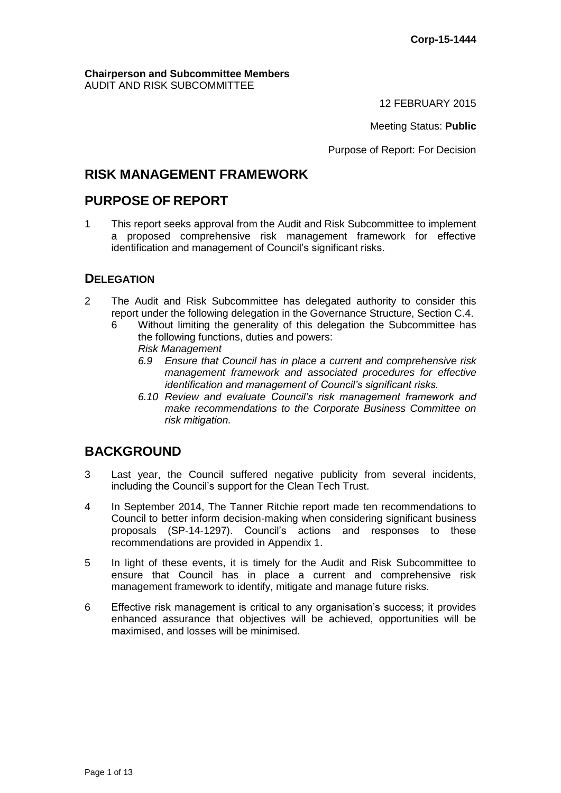#### **Chairperson and Subcommittee Members** AUDIT AND RISK SUBCOMMITTEE

12 FEBRUARY 2015

Meeting Status: **Public**

Purpose of Report: For Decision

# **RISK MANAGEMENT FRAMEWORK**

## **PURPOSE OF REPORT**

1 This report seeks approval from the Audit and Risk Subcommittee to implement a proposed comprehensive risk management framework for effective identification and management of Council's significant risks.

## **DELEGATION**

- 2 The Audit and Risk Subcommittee has delegated authority to consider this report under the following delegation in the Governance Structure, Section C.4.
	- 6 Without limiting the generality of this delegation the Subcommittee has the following functions, duties and powers: *Risk Management*
		- *6.9 Ensure that Council has in place a current and comprehensive risk management framework and associated procedures for effective identification and management of Council's significant risks.*
		- *6.10 Review and evaluate Council's risk management framework and make recommendations to the Corporate Business Committee on risk mitigation.*

# **BACKGROUND**

- 3 Last year, the Council suffered negative publicity from several incidents, including the Council's support for the Clean Tech Trust.
- 4 In September 2014, The Tanner Ritchie report made ten recommendations to Council to better inform decision-making when considering significant business proposals (SP-14-1297). Council's actions and responses to these recommendations are provided in Appendix 1.
- 5 In light of these events, it is timely for the Audit and Risk Subcommittee to ensure that Council has in place a current and comprehensive risk management framework to identify, mitigate and manage future risks.
- 6 Effective risk management is critical to any organisation's success; it provides enhanced assurance that objectives will be achieved, opportunities will be maximised, and losses will be minimised.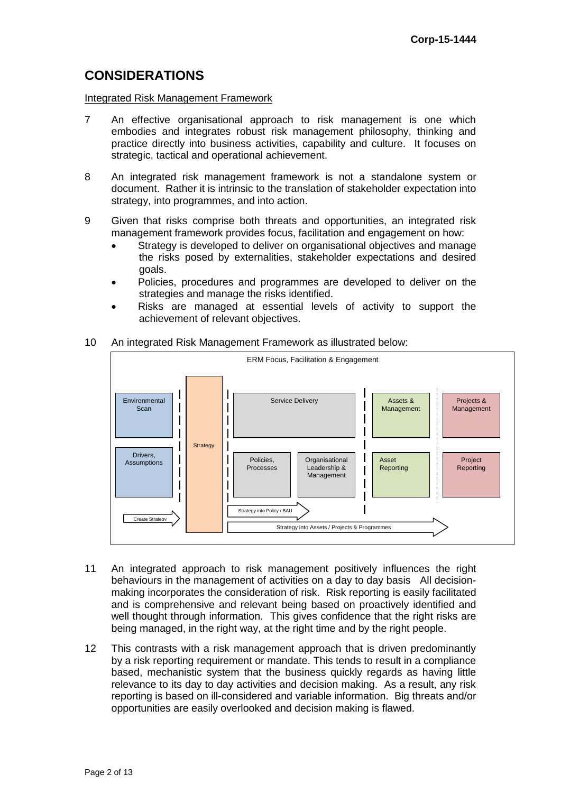# **CONSIDERATIONS**

Integrated Risk Management Framework

- 7 An effective organisational approach to risk management is one which embodies and integrates robust risk management philosophy, thinking and practice directly into business activities, capability and culture. It focuses on strategic, tactical and operational achievement.
- 8 An integrated risk management framework is not a standalone system or document. Rather it is intrinsic to the translation of stakeholder expectation into strategy, into programmes, and into action.
- 9 Given that risks comprise both threats and opportunities, an integrated risk management framework provides focus, facilitation and engagement on how:
	- Strategy is developed to deliver on organisational objectives and manage the risks posed by externalities, stakeholder expectations and desired goals.
	- Policies, procedures and programmes are developed to deliver on the strategies and manage the risks identified.
	- Risks are managed at essential levels of activity to support the achievement of relevant objectives.
- 10 An integrated Risk Management Framework as illustrated below:



- 11 An integrated approach to risk management positively influences the right behaviours in the management of activities on a day to day basis All decisionmaking incorporates the consideration of risk. Risk reporting is easily facilitated and is comprehensive and relevant being based on proactively identified and well thought through information. This gives confidence that the right risks are being managed, in the right way, at the right time and by the right people.
- 12 This contrasts with a risk management approach that is driven predominantly by a risk reporting requirement or mandate. This tends to result in a compliance based, mechanistic system that the business quickly regards as having little relevance to its day to day activities and decision making. As a result, any risk reporting is based on ill-considered and variable information. Big threats and/or opportunities are easily overlooked and decision making is flawed.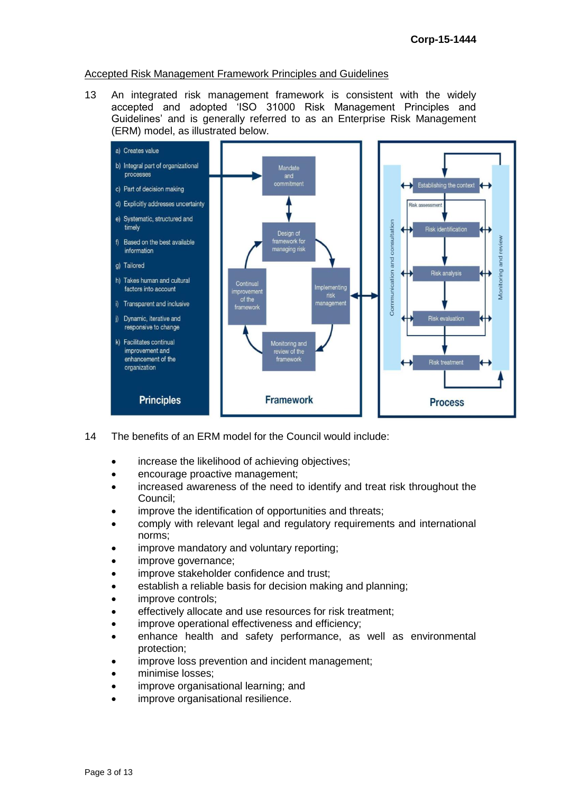#### Accepted Risk Management Framework Principles and Guidelines

13 An integrated risk management framework is consistent with the widely accepted and adopted 'ISO 31000 Risk Management Principles and Guidelines' and is generally referred to as an Enterprise Risk Management (ERM) model, as illustrated below.



- 14 The benefits of an ERM model for the Council would include:
	- increase the likelihood of achieving objectives;
	- encourage proactive management;
	- increased awareness of the need to identify and treat risk throughout the Council;
	- improve the identification of opportunities and threats;
	- comply with relevant legal and regulatory requirements and international norms;
	- improve mandatory and voluntary reporting;
	- improve governance;
	- improve stakeholder confidence and trust:
	- establish a reliable basis for decision making and planning;
	- improve controls;
	- effectively allocate and use resources for risk treatment;
	- improve operational effectiveness and efficiency;
	- enhance health and safety performance, as well as environmental protection;
	- improve loss prevention and incident management;
	- minimise losses;
	- improve organisational learning; and
	- improve organisational resilience.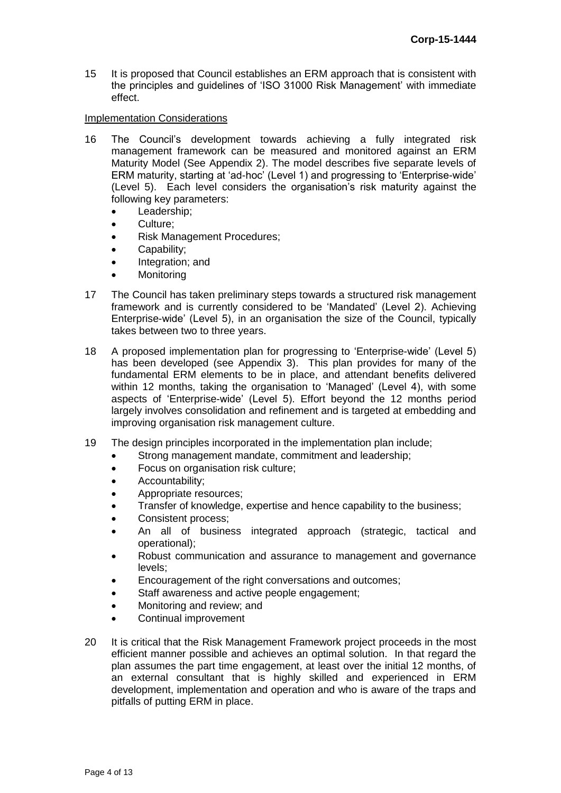15 It is proposed that Council establishes an ERM approach that is consistent with the principles and guidelines of 'ISO 31000 Risk Management' with immediate effect.

### Implementation Considerations

- 16 The Council's development towards achieving a fully integrated risk management framework can be measured and monitored against an ERM Maturity Model (See Appendix 2). The model describes five separate levels of ERM maturity, starting at 'ad-hoc' (Level 1) and progressing to 'Enterprise-wide' (Level 5). Each level considers the organisation's risk maturity against the following key parameters:
	- Leadership;
	- Culture;
	- Risk Management Procedures;
	- Capability;
	- Integration; and
	- **Monitoring**
- 17 The Council has taken preliminary steps towards a structured risk management framework and is currently considered to be 'Mandated' (Level 2). Achieving Enterprise-wide' (Level 5), in an organisation the size of the Council, typically takes between two to three years.
- 18 A proposed implementation plan for progressing to 'Enterprise-wide' (Level 5) has been developed (see Appendix 3). This plan provides for many of the fundamental ERM elements to be in place, and attendant benefits delivered within 12 months, taking the organisation to 'Managed' (Level 4), with some aspects of 'Enterprise-wide' (Level 5). Effort beyond the 12 months period largely involves consolidation and refinement and is targeted at embedding and improving organisation risk management culture.
- 19 The design principles incorporated in the implementation plan include;
	- Strong management mandate, commitment and leadership;
	- Focus on organisation risk culture;
	- Accountability:
	- Appropriate resources;
	- Transfer of knowledge, expertise and hence capability to the business;
	- Consistent process;
	- An all of business integrated approach (strategic, tactical and operational);
	- Robust communication and assurance to management and governance levels;
	- **Encouragement of the right conversations and outcomes;**
	- Staff awareness and active people engagement;
	- Monitoring and review; and
	- Continual improvement
- 20 It is critical that the Risk Management Framework project proceeds in the most efficient manner possible and achieves an optimal solution. In that regard the plan assumes the part time engagement, at least over the initial 12 months, of an external consultant that is highly skilled and experienced in ERM development, implementation and operation and who is aware of the traps and pitfalls of putting ERM in place.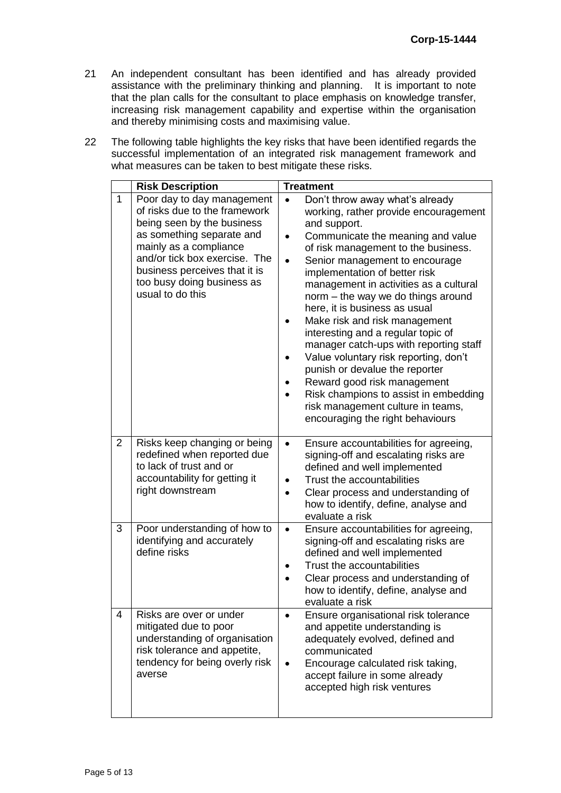- 21 An independent consultant has been identified and has already provided assistance with the preliminary thinking and planning. It is important to note that the plan calls for the consultant to place emphasis on knowledge transfer, increasing risk management capability and expertise within the organisation and thereby minimising costs and maximising value.
- 22 The following table highlights the key risks that have been identified regards the successful implementation of an integrated risk management framework and what measures can be taken to best mitigate these risks.

|                | <b>Risk Description</b>                                                                                                                                                                                                                                              | <b>Treatment</b>                                                                                                                                                                                                                                                                                                                                                                                                                                                                                                                                                                                                                                                                                                   |
|----------------|----------------------------------------------------------------------------------------------------------------------------------------------------------------------------------------------------------------------------------------------------------------------|--------------------------------------------------------------------------------------------------------------------------------------------------------------------------------------------------------------------------------------------------------------------------------------------------------------------------------------------------------------------------------------------------------------------------------------------------------------------------------------------------------------------------------------------------------------------------------------------------------------------------------------------------------------------------------------------------------------------|
| $\mathbf{1}$   | Poor day to day management<br>of risks due to the framework<br>being seen by the business<br>as something separate and<br>mainly as a compliance<br>and/or tick box exercise. The<br>business perceives that it is<br>too busy doing business as<br>usual to do this | Don't throw away what's already<br>$\bullet$<br>working, rather provide encouragement<br>and support.<br>Communicate the meaning and value<br>of risk management to the business.<br>Senior management to encourage<br>implementation of better risk<br>management in activities as a cultural<br>norm - the way we do things around<br>here, it is business as usual<br>Make risk and risk management<br>interesting and a regular topic of<br>manager catch-ups with reporting staff<br>Value voluntary risk reporting, don't<br>punish or devalue the reporter<br>Reward good risk management<br>Risk champions to assist in embedding<br>risk management culture in teams,<br>encouraging the right behaviours |
| $\overline{2}$ | Risks keep changing or being<br>redefined when reported due<br>to lack of trust and or<br>accountability for getting it<br>right downstream                                                                                                                          | Ensure accountabilities for agreeing,<br>$\bullet$<br>signing-off and escalating risks are<br>defined and well implemented<br>Trust the accountabilities<br>Clear process and understanding of<br>how to identify, define, analyse and<br>evaluate a risk                                                                                                                                                                                                                                                                                                                                                                                                                                                          |
| 3              | Poor understanding of how to<br>identifying and accurately<br>define risks                                                                                                                                                                                           | Ensure accountabilities for agreeing,<br>$\bullet$<br>signing-off and escalating risks are<br>defined and well implemented<br>Trust the accountabilities<br>Clear process and understanding of<br>how to identify, define, analyse and<br>evaluate a risk                                                                                                                                                                                                                                                                                                                                                                                                                                                          |
| 4              | Risks are over or under<br>mitigated due to poor<br>understanding of organisation<br>risk tolerance and appetite,<br>tendency for being overly risk<br>averse                                                                                                        | Ensure organisational risk tolerance<br>and appetite understanding is<br>adequately evolved, defined and<br>communicated<br>Encourage calculated risk taking,<br>accept failure in some already<br>accepted high risk ventures                                                                                                                                                                                                                                                                                                                                                                                                                                                                                     |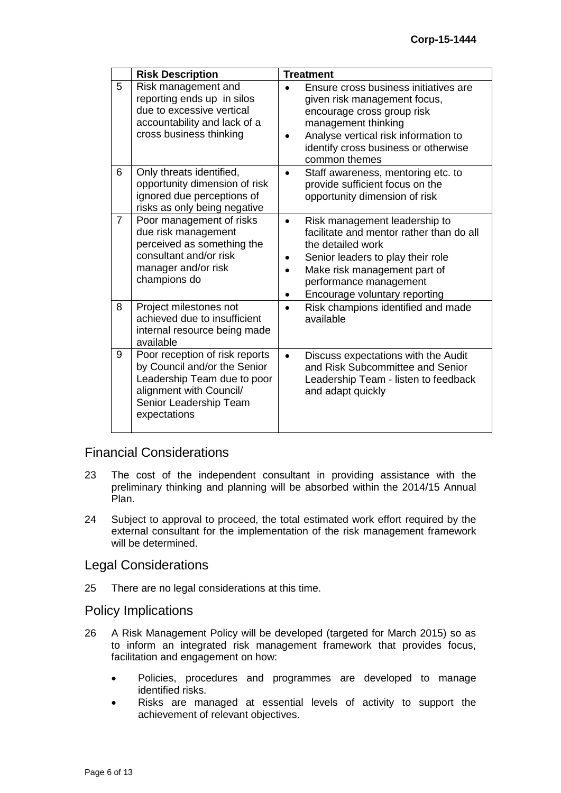|                | <b>Risk Description</b>                                                                                                                                            | <b>Treatment</b>                                                                                                                                                                                                                                                      |  |  |  |  |  |
|----------------|--------------------------------------------------------------------------------------------------------------------------------------------------------------------|-----------------------------------------------------------------------------------------------------------------------------------------------------------------------------------------------------------------------------------------------------------------------|--|--|--|--|--|
| 5              | Risk management and<br>reporting ends up in silos<br>due to excessive vertical<br>accountability and lack of a<br>cross business thinking                          | Ensure cross business initiatives are<br>given risk management focus,<br>encourage cross group risk<br>management thinking<br>Analyse vertical risk information to<br>identify cross business or otherwise<br>common themes                                           |  |  |  |  |  |
| 6              | Only threats identified,<br>opportunity dimension of risk<br>ignored due perceptions of<br>risks as only being negative                                            | Staff awareness, mentoring etc. to<br>$\bullet$<br>provide sufficient focus on the<br>opportunity dimension of risk                                                                                                                                                   |  |  |  |  |  |
| $\overline{7}$ | Poor management of risks<br>due risk management<br>perceived as something the<br>consultant and/or risk<br>manager and/or risk<br>champions do                     | Risk management leadership to<br>$\bullet$<br>facilitate and mentor rather than do all<br>the detailed work<br>Senior leaders to play their role<br>Make risk management part of<br>$\bullet$<br>performance management<br>Encourage voluntary reporting<br>$\bullet$ |  |  |  |  |  |
| 8              | Project milestones not<br>achieved due to insufficient<br>internal resource being made<br>available                                                                | Risk champions identified and made<br>$\bullet$<br>available                                                                                                                                                                                                          |  |  |  |  |  |
| 9              | Poor reception of risk reports<br>by Council and/or the Senior<br>Leadership Team due to poor<br>alignment with Council/<br>Senior Leadership Team<br>expectations | Discuss expectations with the Audit<br>and Risk Subcommittee and Senior<br>Leadership Team - listen to feedback<br>and adapt quickly                                                                                                                                  |  |  |  |  |  |

## Financial Considerations

- 23 The cost of the independent consultant in providing assistance with the preliminary thinking and planning will be absorbed within the 2014/15 Annual Plan.
- 24 Subject to approval to proceed, the total estimated work effort required by the external consultant for the implementation of the risk management framework will be determined.

### Legal Considerations

25 There are no legal considerations at this time.

### Policy Implications

- 26 A Risk Management Policy will be developed (targeted for March 2015) so as to inform an integrated risk management framework that provides focus, facilitation and engagement on how:
	- Policies, procedures and programmes are developed to manage identified risks.
	- Risks are managed at essential levels of activity to support the achievement of relevant objectives.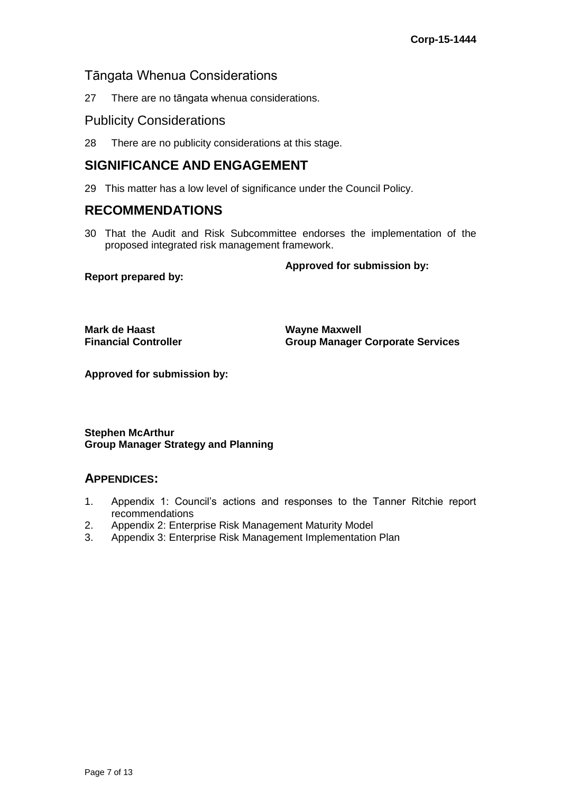## Tāngata Whenua Considerations

27 There are no tāngata whenua considerations.

## Publicity Considerations

28 There are no publicity considerations at this stage.

# **SIGNIFICANCE AND ENGAGEMENT**

29 This matter has a low level of significance under the Council Policy.

## **RECOMMENDATIONS**

30 That the Audit and Risk Subcommittee endorses the implementation of the proposed integrated risk management framework.

**Approved for submission by:**

**Report prepared by:**

**Mark de Haast Wayne Maxwell**

**Financial Controller Group Manager Corporate Services**

**Approved for submission by:**

**Stephen McArthur Group Manager Strategy and Planning**

## **APPENDICES:**

- 1. Appendix 1: Council's actions and responses to the Tanner Ritchie report recommendations
- 2. Appendix 2: Enterprise Risk Management Maturity Model
- 3. Appendix 3: Enterprise Risk Management Implementation Plan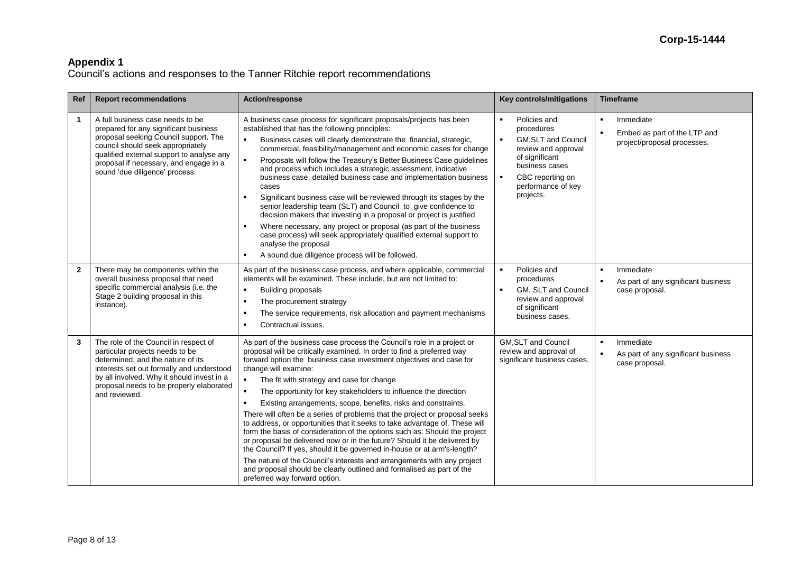Council's actions and responses to the Tanner Ritchie report recommendations

| Ref            | <b>Report recommendations</b>                                                                                                                                                                                                                                                    | <b>Action/response</b>                                                                                                                                                                                                                                                                                                                                                                                                                                                                                                                                                                                                                                                                                                                                                                                                                                                                                                                                                                                                                       | Key controls/mitigations                                                                                                                                                                    | <b>Timeframe</b>                                                                                       |  |  |
|----------------|----------------------------------------------------------------------------------------------------------------------------------------------------------------------------------------------------------------------------------------------------------------------------------|----------------------------------------------------------------------------------------------------------------------------------------------------------------------------------------------------------------------------------------------------------------------------------------------------------------------------------------------------------------------------------------------------------------------------------------------------------------------------------------------------------------------------------------------------------------------------------------------------------------------------------------------------------------------------------------------------------------------------------------------------------------------------------------------------------------------------------------------------------------------------------------------------------------------------------------------------------------------------------------------------------------------------------------------|---------------------------------------------------------------------------------------------------------------------------------------------------------------------------------------------|--------------------------------------------------------------------------------------------------------|--|--|
| $\mathbf{1}$   | A full business case needs to be<br>prepared for any significant business<br>proposal seeking Council support. The<br>council should seek appropriately<br>qualified external support to analyse any<br>proposal if necessary, and engage in a<br>sound 'due diligence' process. | A business case process for significant proposals/projects has been<br>established that has the following principles:<br>Business cases will clearly demonstrate the financial, strategic,<br>commercial, feasibility/management and economic cases for change<br>Proposals will follow the Treasury's Better Business Case guidelines<br>$\blacksquare$<br>and process which includes a strategic assessment, indicative<br>business case, detailed business case and implementation business<br>cases<br>Significant business case will be reviewed through its stages by the<br>senior leadership team (SLT) and Council to give confidence to<br>decision makers that investing in a proposal or project is justified<br>Where necessary, any project or proposal (as part of the business<br>case process) will seek appropriately qualified external support to<br>analyse the proposal<br>A sound due diligence process will be followed.<br>$\blacksquare$                                                                           | Policies and<br>procedures<br><b>GM.SLT and Council</b><br>review and approval<br>of significant<br>business cases<br>CBC reporting on<br>$\blacksquare$<br>performance of key<br>projects. | Immediate<br>$\blacksquare$<br>Embed as part of the LTP and<br>project/proposal processes.             |  |  |
| $\overline{2}$ | There may be components within the<br>overall business proposal that need<br>specific commercial analysis (i.e. the<br>Stage 2 building proposal in this<br>instance).                                                                                                           | As part of the business case process, and where applicable, commercial<br>elements will be examined. These include, but are not limited to:<br><b>Building proposals</b><br>$\blacksquare$<br>$\blacksquare$<br>The procurement strategy<br>The service requirements, risk allocation and payment mechanisms<br>$\blacksquare$<br>Contractual issues.<br>$\blacksquare$                                                                                                                                                                                                                                                                                                                                                                                                                                                                                                                                                                                                                                                                      | Policies and<br>$\blacksquare$<br>procedures<br><b>GM. SLT and Council</b><br>review and approval<br>of significant<br>business cases.                                                      | Immediate<br>$\blacksquare$<br>$\blacksquare$<br>As part of any significant business<br>case proposal. |  |  |
| 3              | The role of the Council in respect of<br>particular projects needs to be<br>determined, and the nature of its<br>interests set out formally and understood<br>by all involved. Why it should invest in a<br>proposal needs to be properly elaborated<br>and reviewed.            | As part of the business case process the Council's role in a project or<br>proposal will be critically examined. In order to find a preferred way<br>forward option the business case investment objectives and case for<br>change will examine:<br>The fit with strategy and case for change<br>$\blacksquare$<br>The opportunity for key stakeholders to influence the direction<br>Existing arrangements, scope, benefits, risks and constraints.<br>There will often be a series of problems that the project or proposal seeks<br>to address, or opportunities that it seeks to take advantage of. These will<br>form the basis of consideration of the options such as: Should the project<br>or proposal be delivered now or in the future? Should it be delivered by<br>the Council? If yes, should it be governed in-house or at arm's-length?<br>The nature of the Council's interests and arrangements with any project<br>and proposal should be clearly outlined and formalised as part of the<br>preferred way forward option. | <b>GM, SLT and Council</b><br>review and approval of<br>significant business cases.                                                                                                         | Immediate<br>$\blacksquare$<br>$\blacksquare$<br>As part of any significant business<br>case proposal. |  |  |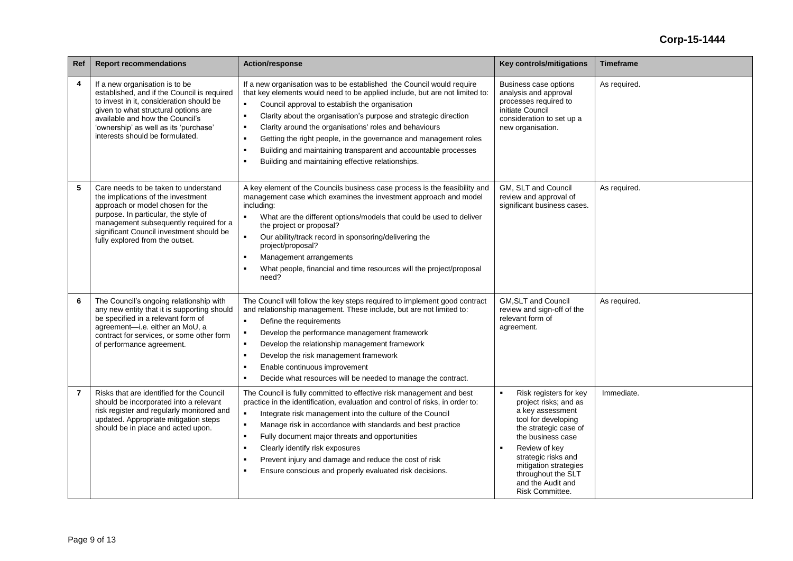| Ref            | <b>Report recommendations</b>                                                                                                                                                                                                                                                    | <b>Action/response</b>                                                                                                                                                                                                                                                                                                                                                                                                                                                                                                                                                                                                    | Key controls/mitigations                                                                                                                                                                                                                                                                  | <b>Timeframe</b> |
|----------------|----------------------------------------------------------------------------------------------------------------------------------------------------------------------------------------------------------------------------------------------------------------------------------|---------------------------------------------------------------------------------------------------------------------------------------------------------------------------------------------------------------------------------------------------------------------------------------------------------------------------------------------------------------------------------------------------------------------------------------------------------------------------------------------------------------------------------------------------------------------------------------------------------------------------|-------------------------------------------------------------------------------------------------------------------------------------------------------------------------------------------------------------------------------------------------------------------------------------------|------------------|
| 4              | If a new organisation is to be<br>established, and if the Council is required<br>to invest in it, consideration should be<br>given to what structural options are<br>available and how the Council's<br>'ownership' as well as its 'purchase'<br>interests should be formulated. | If a new organisation was to be established the Council would require<br>that key elements would need to be applied include, but are not limited to:<br>Council approval to establish the organisation<br>Clarity about the organisation's purpose and strategic direction<br>$\blacksquare$<br>Clarity around the organisations' roles and behaviours<br>$\blacksquare$<br>Getting the right people, in the governance and management roles<br>$\blacksquare$<br>Building and maintaining transparent and accountable processes<br>$\blacksquare$<br>Building and maintaining effective relationships.<br>$\blacksquare$ | Business case options<br>analysis and approval<br>processes required to<br>initiate Council<br>consideration to set up a<br>new organisation.                                                                                                                                             | As required.     |
| 5              | Care needs to be taken to understand<br>the implications of the investment<br>approach or model chosen for the<br>purpose. In particular, the style of<br>management subsequently required for a<br>significant Council investment should be<br>fully explored from the outset.  | A key element of the Councils business case process is the feasibility and<br>management case which examines the investment approach and model<br>including:<br>What are the different options/models that could be used to deliver<br>the project or proposal?<br>Our ability/track record in sponsoring/delivering the<br>project/proposal?<br>Management arrangements<br>$\blacksquare$<br>What people, financial and time resources will the project/proposal<br>need?                                                                                                                                                | GM, SLT and Council<br>review and approval of<br>significant business cases.                                                                                                                                                                                                              | As required.     |
| 6              | The Council's ongoing relationship with<br>any new entity that it is supporting should<br>be specified in a relevant form of<br>agreement-i.e. either an MoU, a<br>contract for services, or some other form<br>of performance agreement.                                        | The Council will follow the key steps required to implement good contract<br>and relationship management. These include, but are not limited to:<br>Define the requirements<br>$\blacksquare$<br>Develop the performance management framework<br>$\blacksquare$<br>Develop the relationship management framework<br>$\blacksquare$<br>Develop the risk management framework<br>$\blacksquare$<br>Enable continuous improvement<br>٠<br>Decide what resources will be needed to manage the contract.<br>$\blacksquare$                                                                                                     | <b>GM.SLT and Council</b><br>review and sign-off of the<br>relevant form of<br>agreement.                                                                                                                                                                                                 | As required.     |
| $\overline{7}$ | Risks that are identified for the Council<br>should be incorporated into a relevant<br>risk register and regularly monitored and<br>updated. Appropriate mitigation steps<br>should be in place and acted upon.                                                                  | The Council is fully committed to effective risk management and best<br>practice in the identification, evaluation and control of risks, in order to:<br>Integrate risk management into the culture of the Council<br>$\blacksquare$<br>Manage risk in accordance with standards and best practice<br>$\blacksquare$<br>Fully document major threats and opportunities<br>$\blacksquare$<br>Clearly identify risk exposures<br>$\blacksquare$<br>Prevent injury and damage and reduce the cost of risk<br>$\blacksquare$<br>Ensure conscious and properly evaluated risk decisions.<br>$\blacksquare$                     | Risk registers for key<br>project risks; and as<br>a key assessment<br>tool for developing<br>the strategic case of<br>the business case<br>Review of key<br>$\blacksquare$<br>strategic risks and<br>mitigation strategies<br>throughout the SLT<br>and the Audit and<br>Risk Committee. | Immediate.       |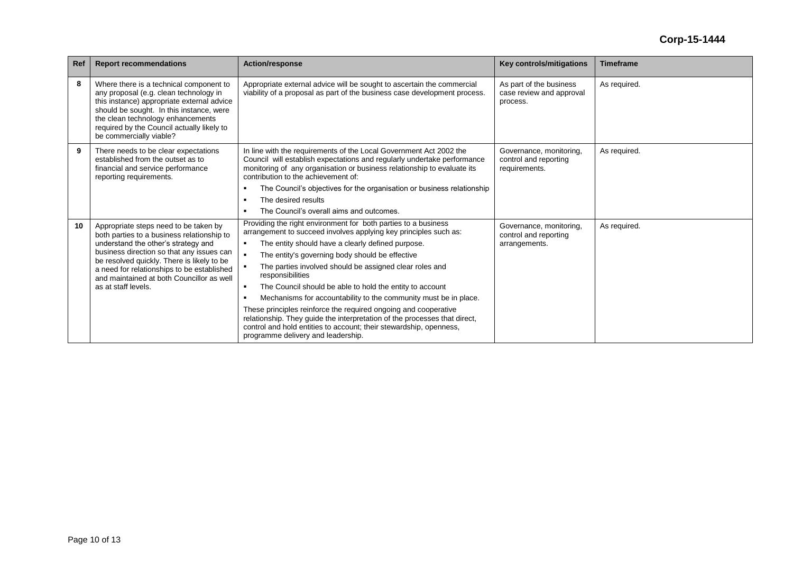| Ref | <b>Report recommendations</b>                                                                                                                                                                                                                                                                                                           | <b>Action/response</b>                                                                                                                                                                                                                                                                                                                                                                                                                                                                                                                                                                                                                                                                                                | <b>Key controls/mitigations</b>                                   | <b>Timeframe</b> |
|-----|-----------------------------------------------------------------------------------------------------------------------------------------------------------------------------------------------------------------------------------------------------------------------------------------------------------------------------------------|-----------------------------------------------------------------------------------------------------------------------------------------------------------------------------------------------------------------------------------------------------------------------------------------------------------------------------------------------------------------------------------------------------------------------------------------------------------------------------------------------------------------------------------------------------------------------------------------------------------------------------------------------------------------------------------------------------------------------|-------------------------------------------------------------------|------------------|
| 8   | Where there is a technical component to<br>any proposal (e.g. clean technology in<br>this instance) appropriate external advice<br>should be sought. In this instance, were<br>the clean technology enhancements<br>required by the Council actually likely to<br>be commercially viable?                                               | Appropriate external advice will be sought to ascertain the commercial<br>viability of a proposal as part of the business case development process.                                                                                                                                                                                                                                                                                                                                                                                                                                                                                                                                                                   | As part of the business<br>case review and approval<br>process.   | As required.     |
| 9   | There needs to be clear expectations<br>established from the outset as to<br>financial and service performance<br>reporting requirements.                                                                                                                                                                                               | In line with the requirements of the Local Government Act 2002 the<br>Council will establish expectations and regularly undertake performance<br>monitoring of any organisation or business relationship to evaluate its<br>contribution to the achievement of:<br>The Council's objectives for the organisation or business relationship<br>The desired results<br>The Council's overall aims and outcomes.                                                                                                                                                                                                                                                                                                          | Governance, monitoring,<br>control and reporting<br>requirements. | As required.     |
| 10  | Appropriate steps need to be taken by<br>both parties to a business relationship to<br>understand the other's strategy and<br>business direction so that any issues can<br>be resolved quickly. There is likely to be<br>a need for relationships to be established<br>and maintained at both Councillor as well<br>as at staff levels. | Providing the right environment for both parties to a business<br>arrangement to succeed involves applying key principles such as:<br>The entity should have a clearly defined purpose.<br>The entity's governing body should be effective<br>The parties involved should be assigned clear roles and<br>responsibilities<br>The Council should be able to hold the entity to account<br>Mechanisms for accountability to the community must be in place.<br>These principles reinforce the required ongoing and cooperative<br>relationship. They guide the interpretation of the processes that direct,<br>control and hold entities to account; their stewardship, openness,<br>programme delivery and leadership. | Governance, monitoring,<br>control and reporting<br>arrangements. | As required.     |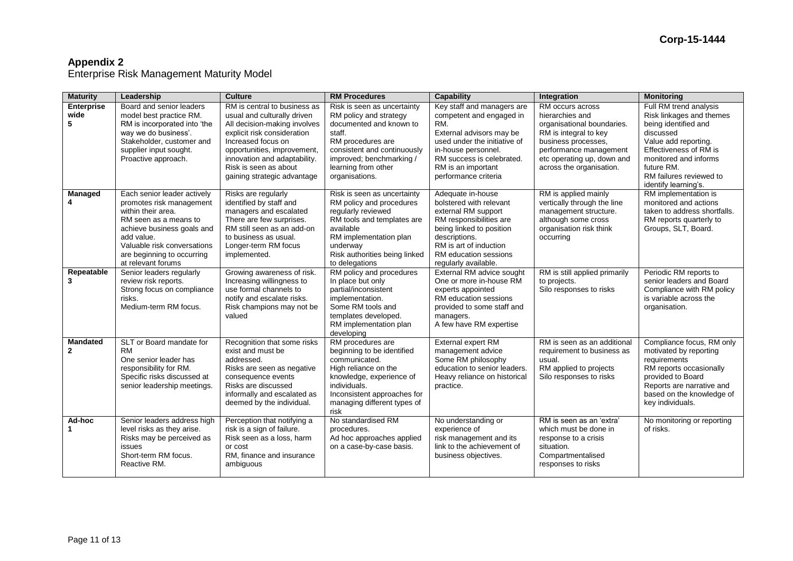Enterprise Risk Management Maturity Model

| <b>Maturity</b>                   | Leadership                                                                                                                                                                                                                            | <b>Culture</b>                                                                                                                                                                                                                                                          | <b>RM Procedures</b>                                                                                                                                                                                                | Capability                                                                                                                                                                                                                  | Integration                                                                                                                                                                                           | <b>Monitoring</b>                                                                                                                                                                                                                   |
|-----------------------------------|---------------------------------------------------------------------------------------------------------------------------------------------------------------------------------------------------------------------------------------|-------------------------------------------------------------------------------------------------------------------------------------------------------------------------------------------------------------------------------------------------------------------------|---------------------------------------------------------------------------------------------------------------------------------------------------------------------------------------------------------------------|-----------------------------------------------------------------------------------------------------------------------------------------------------------------------------------------------------------------------------|-------------------------------------------------------------------------------------------------------------------------------------------------------------------------------------------------------|-------------------------------------------------------------------------------------------------------------------------------------------------------------------------------------------------------------------------------------|
| <b>Enterprise</b><br>wide<br>5    | Board and senior leaders<br>model best practice RM.<br>RM is incorporated into 'the<br>way we do business'.<br>Stakeholder, customer and<br>supplier input sought.<br>Proactive approach.                                             | RM is central to business as<br>usual and culturally driven<br>All decision-making involves<br>explicit risk consideration<br>Increased focus on<br>opportunities, improvement,<br>innovation and adaptability.<br>Risk is seen as about<br>gaining strategic advantage | Risk is seen as uncertainty<br>RM policy and strategy<br>documented and known to<br>staff.<br>RM procedures are<br>consistent and continuously<br>improved; benchmarking /<br>learning from other<br>organisations. | Key staff and managers are<br>competent and engaged in<br>RM.<br>External advisors may be<br>used under the initiative of<br>in-house personnel.<br>RM success is celebrated.<br>RM is an important<br>performance criteria | RM occurs across<br>hierarchies and<br>organisational boundaries.<br>RM is integral to key<br>business processes,<br>performance management<br>etc operating up, down and<br>across the organisation. | Full RM trend analysis<br>Risk linkages and themes<br>being identified and<br>discussed<br>Value add reporting.<br>Effectiveness of RM is<br>monitored and informs<br>future RM.<br>RM failures reviewed to<br>identify learning's. |
| Managed<br>4                      | Each senior leader actively<br>promotes risk management<br>within their area.<br>RM seen as a means to<br>achieve business goals and<br>add value.<br>Valuable risk conversations<br>are beginning to occurring<br>at relevant forums | Risks are regularly<br>identified by staff and<br>managers and escalated<br>There are few surprises.<br>RM still seen as an add-on<br>to business as usual.<br>Longer-term RM focus<br>implemented.                                                                     | Risk is seen as uncertainty<br>RM policy and procedures<br>reqularly reviewed<br>RM tools and templates are<br>available<br>RM implementation plan<br>underway<br>Risk authorities being linked<br>to delegations   | Adequate in-house<br>bolstered with relevant<br>external RM support<br>RM responsibilities are<br>being linked to position<br>descriptions.<br>RM is art of induction<br>RM education sessions<br>regularly available.      | RM is applied mainly<br>vertically through the line<br>management structure.<br>although some cross<br>organisation risk think<br>occurring                                                           | RM implementation is<br>monitored and actions<br>taken to address shortfalls.<br>RM reports quarterly to<br>Groups, SLT, Board.                                                                                                     |
| Repeatable<br>3                   | Senior leaders regularly<br>review risk reports.<br>Strong focus on compliance<br>risks.<br>Medium-term RM focus.                                                                                                                     | Growing awareness of risk.<br>Increasing willingness to<br>use formal channels to<br>notify and escalate risks.<br>Risk champions may not be<br>valued                                                                                                                  | RM policy and procedures<br>In place but only<br>partial/inconsistent<br>implementation.<br>Some RM tools and<br>templates developed.<br>RM implementation plan<br>developing                                       | External RM advice sought<br>One or more in-house RM<br>experts appointed<br>RM education sessions<br>provided to some staff and<br>managers.<br>A few have RM expertise                                                    | RM is still applied primarily<br>to projects.<br>Silo responses to risks                                                                                                                              | Periodic RM reports to<br>senior leaders and Board<br>Compliance with RM policy<br>is variable across the<br>organisation.                                                                                                          |
| <b>Mandated</b><br>$\overline{2}$ | SLT or Board mandate for<br><b>RM</b><br>One senior leader has<br>responsibility for RM.<br>Specific risks discussed at<br>senior leadership meetings.                                                                                | Recognition that some risks<br>exist and must be<br>addressed.<br>Risks are seen as negative<br>consequence events<br>Risks are discussed<br>informally and escalated as<br>deemed by the individual.                                                                   | RM procedures are<br>beginning to be identified<br>communicated.<br>High reliance on the<br>knowledge, experience of<br>individuals.<br>Inconsistent approaches for<br>managing different types of<br>risk          | External expert RM<br>management advice<br>Some RM philosophy<br>education to senior leaders.<br>Heavy reliance on historical<br>practice.                                                                                  | RM is seen as an additional<br>requirement to business as<br>usual.<br>RM applied to projects<br>Silo responses to risks                                                                              | Compliance focus, RM only<br>motivated by reporting<br>requirements<br>RM reports occasionally<br>provided to Board<br>Reports are narrative and<br>based on the knowledge of<br>key individuals.                                   |
| Ad-hoc                            | Senior leaders address high<br>level risks as they arise.<br>Risks may be perceived as<br>issues<br>Short-term RM focus.<br>Reactive RM.                                                                                              | Perception that notifying a<br>risk is a sign of failure.<br>Risk seen as a loss, harm<br>or cost<br>RM, finance and insurance<br>ambiguous                                                                                                                             | No standardised RM<br>procedures.<br>Ad hoc approaches applied<br>on a case-by-case basis.                                                                                                                          | No understanding or<br>experience of<br>risk management and its<br>link to the achievement of<br>business objectives.                                                                                                       | RM is seen as an 'extra'<br>which must be done in<br>response to a crisis<br>situation.<br>Compartmentalised<br>responses to risks                                                                    | No monitoring or reporting<br>of risks.                                                                                                                                                                                             |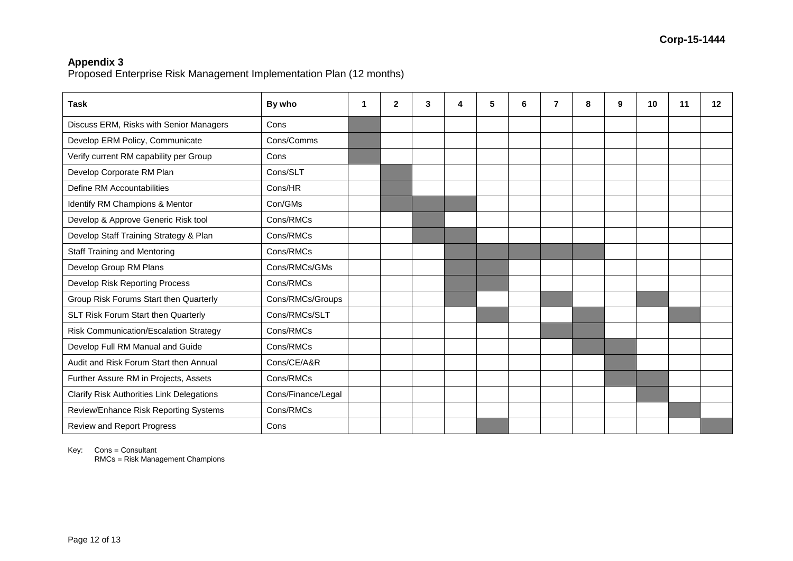Proposed Enterprise Risk Management Implementation Plan (12 months)

| <b>Task</b>                                      | By who             | 1 | $\mathbf{2}$ | 3 | 4 | 5 | 6 | 7 | 8 | 9 | 10 | 11 | $12 \,$ |
|--------------------------------------------------|--------------------|---|--------------|---|---|---|---|---|---|---|----|----|---------|
| Discuss ERM, Risks with Senior Managers          | Cons               |   |              |   |   |   |   |   |   |   |    |    |         |
| Develop ERM Policy, Communicate                  | Cons/Comms         |   |              |   |   |   |   |   |   |   |    |    |         |
| Verify current RM capability per Group           | Cons               |   |              |   |   |   |   |   |   |   |    |    |         |
| Develop Corporate RM Plan                        | Cons/SLT           |   |              |   |   |   |   |   |   |   |    |    |         |
| Define RM Accountabilities                       | Cons/HR            |   |              |   |   |   |   |   |   |   |    |    |         |
| Identify RM Champions & Mentor                   | Con/GMs            |   |              |   |   |   |   |   |   |   |    |    |         |
| Develop & Approve Generic Risk tool              | Cons/RMCs          |   |              |   |   |   |   |   |   |   |    |    |         |
| Develop Staff Training Strategy & Plan           | Cons/RMCs          |   |              |   |   |   |   |   |   |   |    |    |         |
| <b>Staff Training and Mentoring</b>              | Cons/RMCs          |   |              |   |   |   |   |   |   |   |    |    |         |
| Develop Group RM Plans                           | Cons/RMCs/GMs      |   |              |   |   |   |   |   |   |   |    |    |         |
| Develop Risk Reporting Process                   | Cons/RMCs          |   |              |   |   |   |   |   |   |   |    |    |         |
| Group Risk Forums Start then Quarterly           | Cons/RMCs/Groups   |   |              |   |   |   |   |   |   |   |    |    |         |
| SLT Risk Forum Start then Quarterly              | Cons/RMCs/SLT      |   |              |   |   |   |   |   |   |   |    |    |         |
| Risk Communication/Escalation Strategy           | Cons/RMCs          |   |              |   |   |   |   |   |   |   |    |    |         |
| Develop Full RM Manual and Guide                 | Cons/RMCs          |   |              |   |   |   |   |   |   |   |    |    |         |
| Audit and Risk Forum Start then Annual           | Cons/CE/A&R        |   |              |   |   |   |   |   |   |   |    |    |         |
| Further Assure RM in Projects, Assets            | Cons/RMCs          |   |              |   |   |   |   |   |   |   |    |    |         |
| <b>Clarify Risk Authorities Link Delegations</b> | Cons/Finance/Legal |   |              |   |   |   |   |   |   |   |    |    |         |
| Review/Enhance Risk Reporting Systems            | Cons/RMCs          |   |              |   |   |   |   |   |   |   |    |    |         |
| <b>Review and Report Progress</b>                | Cons               |   |              |   |   |   |   |   |   |   |    |    |         |

Key: Cons = Consultant

RMCs = Risk Management Champions